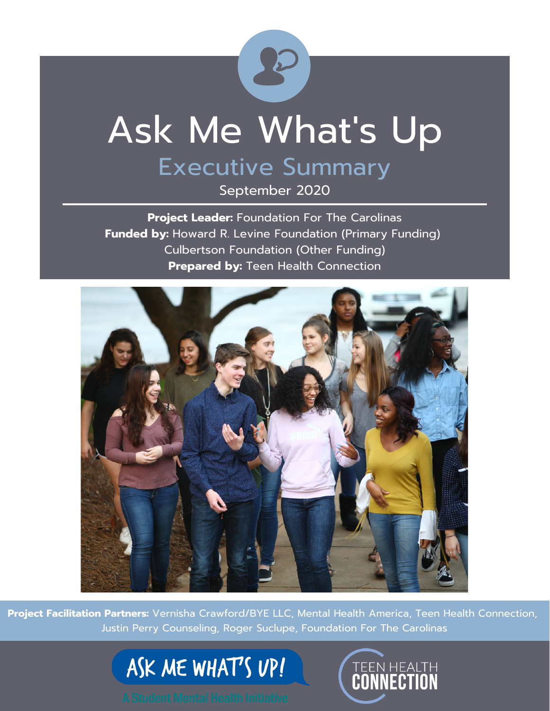

# Ask Me What's Up

### Executive Summary

September 2020

**Project Leader:** Foundation For The Carolinas **Funded by:** Howard R. Levine Foundation (Primary Funding) Culbertson Foundation (Other Funding) **Prepared by: Teen Health Connection** 



**Project Facilitation Partners:** Vernisha Crawford/BYE LLC, Mental Health America, Teen Health Connection, Justin Perry Counseling, Roger Suclupe, Foundation For The Carolinas

ASK ME WHAT'S UP!

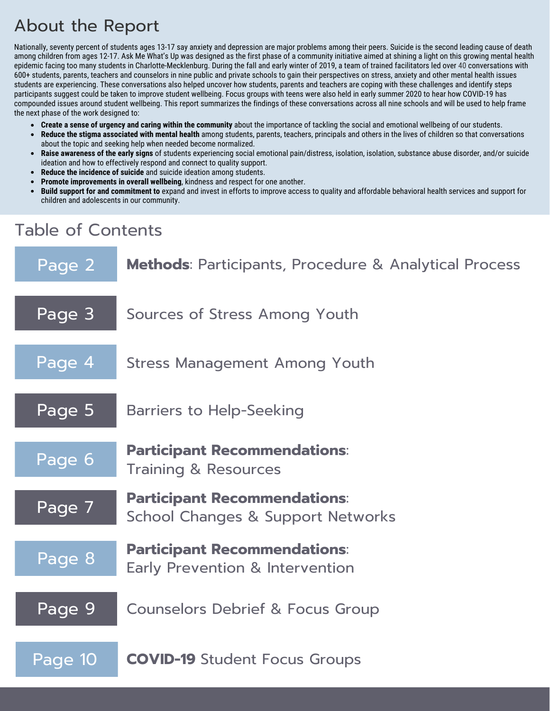### About the Report

Nationally, seventy percent of students ages 13-17 say anxiety and depression are major problems among their peers. Suicide is the second leading cause of death among children from ages 12-17. Ask Me What's Up was designed as the first phase of a community initiative aimed at shining a light on this growing mental health epidemic facing too many students in Charlotte-Mecklenburg. During the fall and early winter of 2019, a team of trained facilitators led over 40 conversations with 600+ students, parents, teachers and counselors in nine public and private schools to gain their perspectives on stress, anxiety and other mental health issues students are experiencing. These conversations also helped uncover how students, parents and teachers are coping with these challenges and identify steps participants suggest could be taken to improve student wellbeing. Focus groups with teens were also held in early summer 2020 to hear how COVID-19 has compounded issues around student wellbeing. This report summarizes the findings of these conversations across all nine schools and will be used to help frame the next phase of the work designed to:

- **Create a sense of urgency and caring within the community** about the importance of tackling the social and emotional wellbeing of our students.
- $\bullet$ **Reduce the stigma associated with mental health** among students, parents, teachers, principals and others in the lives of children so that conversations about the topic and seeking help when needed become normalized.
- **Raise awareness of the early signs** of students experiencing social emotional pain/distress, isolation, isolation, substance abuse disorder, and/or suicide  $\bullet$ ideation and how to effectively respond and connect to quality support.
- **Reduce the incidence of suicide** and suicide ideation among students.  $\bullet$
- **Promote improvements in overall wellbeing**, kindness and respect for one another.
- **Build support for and commitment to** expand and invest in efforts to improve access to quality and affordable behavioral health services and support for children and adolescents in our community.

### Table of Contents

| Page 2  | <b>Methods:</b> Participants, Procedure & Analytical Process             |
|---------|--------------------------------------------------------------------------|
| Page 3  | Sources of Stress Among Youth                                            |
| Page 4  | Stress Management Among Youth                                            |
| Page 5  | <b>Barriers to Help-Seeking</b>                                          |
| Page 6  | <b>Participant Recommendations:</b><br><b>Training &amp; Resources</b>   |
| Page 7  | <b>Participant Recommendations:</b><br>School Changes & Support Networks |
| Page 8  | <b>Participant Recommendations:</b><br>Early Prevention & Intervention   |
| Page 9  | <b>Counselors Debrief &amp; Focus Group</b>                              |
| Page 10 | <b>COVID-19</b> Student Focus Groups                                     |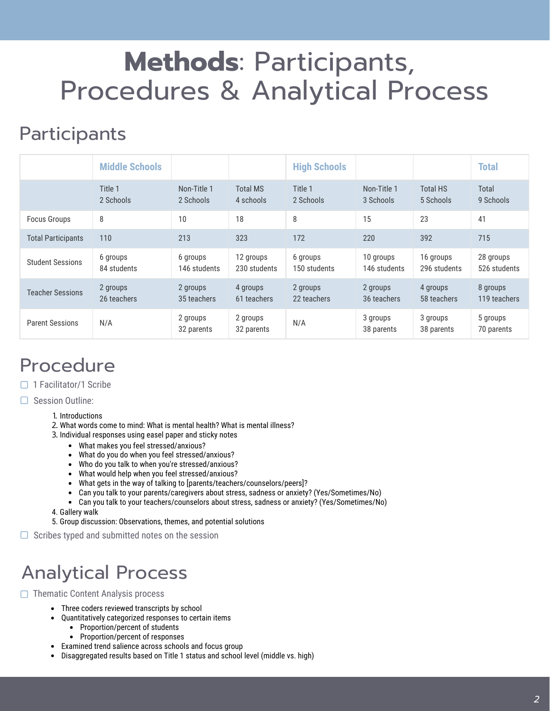### **Methods**: Participants, Procedures & Analytical Process

### **Participants**

|                           | <b>Middle Schools</b>   |                          |                              | <b>High Schools</b>      |                           |                              | <b>Total</b>              |
|---------------------------|-------------------------|--------------------------|------------------------------|--------------------------|---------------------------|------------------------------|---------------------------|
|                           | Title 1<br>2 Schools    | Non-Title 1<br>2 Schools | <b>Total MS</b><br>4 schools | Title 1<br>2 Schools     | Non-Title 1<br>3 Schools  | <b>Total HS</b><br>5 Schools | Total<br>9 Schools        |
| <b>Focus Groups</b>       | 8                       | 10                       | 18                           | 8                        | 15                        | 23                           | 41                        |
| <b>Total Participants</b> | 110                     | 213                      | 323                          | 172                      | 220                       | 392                          | 715                       |
| <b>Student Sessions</b>   | 6 groups<br>84 students | 6 groups<br>146 students | 12 groups<br>230 students    | 6 groups<br>150 students | 10 groups<br>146 students | 16 groups<br>296 students    | 28 groups<br>526 students |
| <b>Teacher Sessions</b>   | 2 groups<br>26 teachers | 2 groups<br>35 teachers  | 4 groups<br>61 teachers      | 2 groups<br>22 teachers  | 2 groups<br>36 teachers   | 4 groups<br>58 teachers      | 8 groups<br>119 teachers  |
| <b>Parent Sessions</b>    | N/A                     | 2 groups<br>32 parents   | 2 groups<br>32 parents       | N/A                      | 3 groups<br>38 parents    | 3 groups<br>38 parents       | 5 groups<br>70 parents    |

### Procedure

- $\Box$  1 Facilitator/1 Scribe
- $\Box$  Session Outline:
	- 1. Introductions
	- 2. What words come to mind: What is mental health? What is mental illness?
	- 3. Individual responses using easel paper and sticky notes
		- What makes you feel stressed/anxious?
		- What do you do when you feel stressed/anxious?
		- Who do you talk to when you're stressed/anxious?
		- What would help when you feel stressed/anxious?
		- What gets in the way of talking to [parents/teachers/counselors/peers]?
		- Can you talk to your parents/caregivers about stress, sadness or anxiety? (Yes/Sometimes/No)
		- Can you talk to your teachers/counselors about stress, sadness or anxiety? (Yes/Sometimes/No)
	- 4. Gallery walk
	- 5. Group discussion: Observations, themes, and potential solutions
- $\Box$  Scribes typed and submitted notes on the session

### Analytical Process

 $\Box$  Thematic Content Analysis process

- Three coders reviewed transcripts by school
- Quantitatively categorized responses to certain items  $\bullet$ 
	- Proportion/percent of students
	- Proportion/percent of responses
- Examined trend salience across schools and focus group
- Disaggregated results based on Title 1 status and school level (middle vs. high)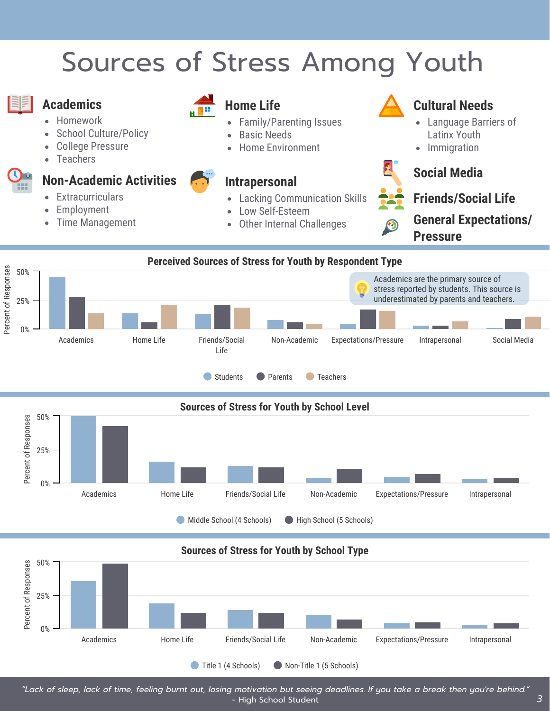## Sources of Stress Among Youth



#### **Academics**

- Homework
- School Culture/Policy
- College Pressure
- **Teachers**

#### **Non-Academic Activities**

- **Extracurriculars**
- Employment
- Time Management



#### **Home Life**

- Family/Parenting Issues
- Basic Needs
- Home Environment

- Lacking Communication Skills
- Low Self-Esteem
- Other Internal Challenges  $\bullet$



#### **Cultural Needs**

- Language Barriers of Latinx Youth
- Immigration  $\bullet$



### **Social Media Intrapersonal**



**General Expectations/ Pressure**



Middle School (4 Schools) High School (5 Schools)

#### **Sources of Stress for Youth by School Type**



*"Lack of sleep, lack of time, feeling burnt out, losing motivation but seeing deadlines. If you take a break then you're behind."* - High School Student *3*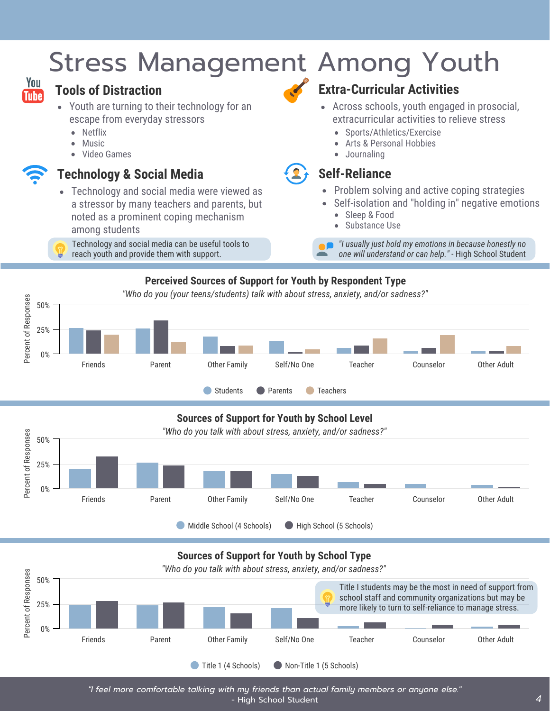### Stress Management Among Youth



#### **Tools of Distraction**

- Youth are turning to their technology for an escape from everyday stressors
	- Netflix  $\bullet$
	- Music
	- Video Games

#### **Technology & Social Media**

- Technology and social media were viewed as a stressor by many teachers and parents, but noted as a prominent coping mechanism among students
- Technology and social media can be useful tools to reach youth and provide them with support.

#### **Extra-Curricular Activities**

- Across schools, youth engaged in prosocial, extracurricular activities to relieve stress
	- Sports/Athletics/Exercise  $\bullet$
	- Arts & Personal Hobbies
	- Journaling

#### **Self-Reliance**

- Problem solving and active coping strategies  $\bullet$
- Self-isolation and "holding in" negative emotions  $\bullet$ 
	- Sleep & Food  $\bullet$
	- Substance Use

*"I usually just hold my emotions in because honestly no one will understand or can help."* - High School Student

#### **Perceived Sources of Support for Youth by Respondent Type**



#### **Sources of Support for Youth by School Level**





*"I feel more comfortable talking with my friends than actual family members or anyone else."* - High School Student *4*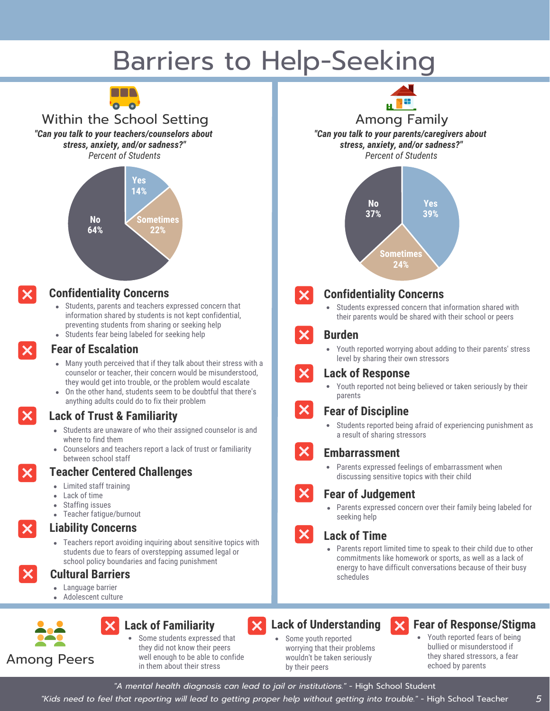### Barriers to Help-Seeking



Within the School Setting *"Can you talk to your teachers/counselors about stress, anxiety, and/or sadness?" Percent of Students*





#### **Confidentiality Concerns**

- Students, parents and teachers expressed concern that information shared by students is not kept confidential, preventing students from sharing or seeking help
- Students fear being labeled for seeking help

#### **Fear of Escalation**

- Many youth perceived that if they talk about their stress with a counselor or teacher, their concern would be misunderstood, they would get into trouble, or the problem would escalate
- On the other hand, students seem to be doubtful that there's anything adults could do to fix their problem

#### **Lack of Trust & Familiarity**

- Students are unaware of who their assigned counselor is and where to find them
- Counselors and teachers report a lack of trust or familiarity between school staff

#### **Teacher Centered Challenges**

- Limited staff training
- Lack of time
- Staffing issues
- Teacher fatigue/burnout

#### **Liability Concerns**

Teachers report avoiding inquiring about sensitive topics with students due to fears of overstepping assumed legal or school policy boundaries and facing punishment

#### **Cultural Barriers**

- Language barrier
- Adolescent culture



#### **Lack of Familiarity**

Some students expressed that they did not know their peers well enough to be able to confide in them about their stress





Among Family *"Can you talk to your parents/caregivers about stress, anxiety, and/or sadness?" Percent of Students*



#### **Confidentiality Concerns**

Students expressed concern that information shared with  $\bullet$ their parents would be shared with their school or peers

#### **Burden**

 $\bullet$ Youth reported worrying about adding to their parents' stress level by sharing their own stressors



 $\boldsymbol{\times}$ 

 $\boldsymbol{\mathsf{X}}$ 

#### **Lack of Response**

Youth reported not being believed or taken seriously by their parents

#### **Fear of Discipline**

Students reported being afraid of experiencing punishment as  $\bullet$ a result of sharing stressors

#### **Embarrassment**

Parents expressed feelings of embarrassment when discussing sensitive topics with their child

#### **Fear of Judgement**

Parents expressed concern over their family being labeled for seeking help

- **Lack of Time**
- Parents report limited time to speak to their child due to other commitments like homework or sports, as well as a lack of energy to have difficult conversations because of their busy schedules

#### **Lack of Understanding**  $\bm{\times}$

Some youth reported worrying that their problems wouldn't be taken seriously by their peers

#### **Fear of Response/Stigma**

Youth reported fears of being bullied or misunderstood if they shared stressors, a fear echoed by parents

*"A mental health diagnosis can lead to jail or institutions."* - High School Student

*"Kids need to feel that reporting will lead to getting proper help without getting into trouble."* - High School Teacher *5*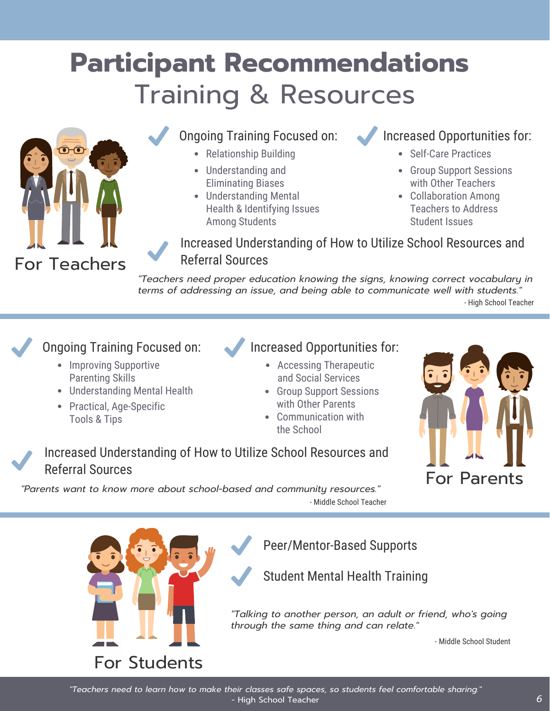## **Participant Recommendations** Training & Resources



#### Ongoing Training Focused on: Increased Opportunities for:

- Relationship Building
- Understanding and Eliminating Biases
- Understanding Mental Health & Identifying Issues Among Students

- Self-Care Practices
- Group Support Sessions with Other Teachers
- Collaboration Among Teachers to Address Student Issues

Increased Understanding of How to Utilize School Resources and Referral Sources

*"Teachers need proper education knowing the signs, knowing correct vocabulary in terms of addressing an issue, and being able to communicate well with students."* - High School Teacher

#### Ongoing Training Focused on:

- Improving Supportive Parenting Skills
- Understanding Mental Health
- Practical, Age-Specific Tools & Tips

#### Increased Opportunities for:

- Accessing Therapeutic and Social Services
- Group Support Sessions with Other Parents
- Communication with the School



Increased Understanding of How to Utilize School Resources and Referral Sources

*"Parents want to know more about school-based and community resources."* - Middle School Teacher



Peer/Mentor-Based Supports

Student Mental Health Training

*"Talking to another person, an adult or friend, who's going through the same thing and can relate."*

- Middle School Student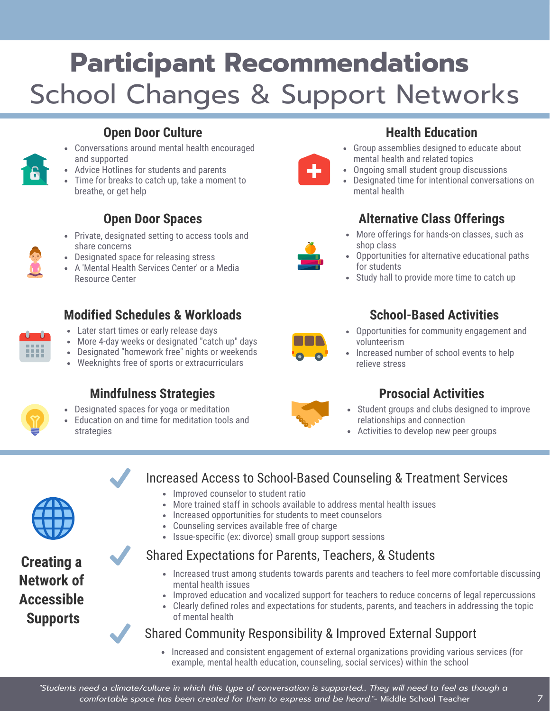## **Participant Recommendations** School Changes & Support Networks

#### **Open Door Culture**

- Conversations around mental health encouraged and supported
- Advice Hotlines for students and parents
- Time for breaks to catch up, take a moment to breathe, or get help

#### **Open Door Spaces**

- Private, designated setting to access tools and share concerns
- Designated space for releasing stress
- A 'Mental Health Services Center' or a Media Resource Center

#### **Modified Schedules & Workloads**

- Later start times or early release days
- More 4-day weeks or designated "catch up" days
- Designated "homework free" nights or weekends
- Weeknights free of sports or extracurriculars

#### **Mindfulness Strategies**

- Designated spaces for yoga or meditation
- Education on and time for meditation tools and strategies



#### **Health Education**

- Group assemblies designed to educate about mental health and related topics
- Ongoing small student group discussions
- Designated time for intentional conversations on mental health

#### **Alternative Class Offerings**

- More offerings for hands-on classes, such as shop class
- Opportunities for alternative educational paths for students
- Study hall to provide more time to catch up

#### **School-Based Activities**

- Opportunities for community engagement and volunteerism
- Increased number of school events to help relieve stress

#### **Prosocial Activities**

- Student groups and clubs designed to improve relationships and connection
- Activities to develop new peer groups



**Creating a Network of Accessible Supports**

#### Increased Access to School-Based Counseling & Treatment Services

- Improved counselor to student ratio
- More trained staff in schools available to address mental health issues
- Increased opportunities for students to meet counselors
- Counseling services available free of charge
- Issue-specific (ex: divorce) small group support sessions

#### Shared Expectations for Parents, Teachers, & Students

- Increased trust among students towards parents and teachers to feel more comfortable discussing mental health issues
- Improved education and vocalized support for teachers to reduce concerns of legal repercussions
- Clearly defined roles and expectations for students, parents, and teachers in addressing the topic of mental health

#### Shared Community Responsibility & Improved External Support

• Increased and consistent engagement of external organizations providing various services (for example, mental health education, counseling, social services) within the school

*"Students need a climate/culture in which this type of conversation is supported... They will need to feel as though a comfortable space has been created for them to express and be heard."*- Middle School Teacher *7*











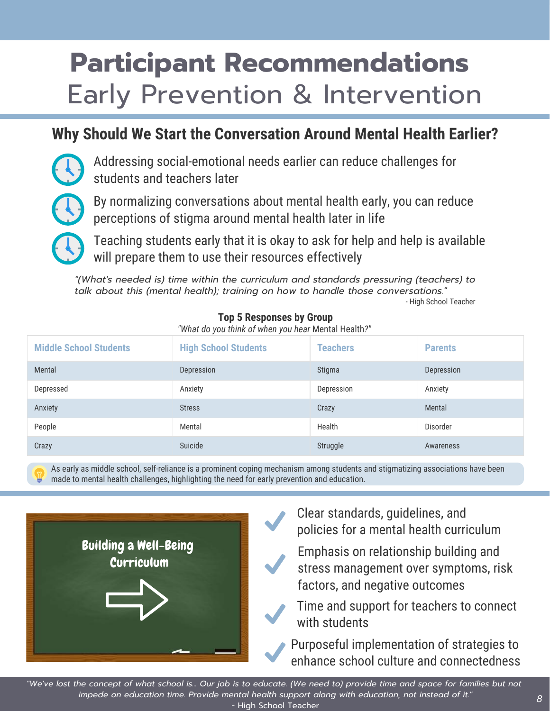## **Participant Recommendations** Early Prevention & Intervention

### **Why Should We Start the Conversation Around Mental Health Earlier?**

Addressing social-emotional needs earlier can reduce challenges for students and teachers later

By normalizing conversations about mental health early, you can reduce perceptions of stigma around mental health later in life

Teaching students early that it is okay to ask for help and help is available will prepare them to use their resources effectively

*"(What's needed is) time within the curriculum and standards pressuring (teachers) to talk about this (mental health); training on how to handle those conversations."* - High School Teacher

| <b>Middle School Students</b> | <b>High School Students</b> | <b>Teachers</b> | <b>Parents</b> |
|-------------------------------|-----------------------------|-----------------|----------------|
| Mental                        | Depression                  | Stigma          | Depression     |
| Depressed                     | Anxiety                     | Depression      | Anxiety        |
| Anxiety                       | <b>Stress</b>               | Crazy           | Mental         |
| People                        | Mental                      | Health          | Disorder       |
| Crazy                         | Suicide                     | Struggle        | Awareness      |

#### **Top 5 Responses by Group**

*"What do you think of when you hear* Mental Health*?"*

As early as middle school, self-reliance is a prominent coping mechanism among students and stigmatizing associations have been made to mental health challenges, highlighting the need for early prevention and education.



- Clear standards, guidelines, and policies for a mental health curriculum
- Emphasis on relationship building and stress management over symptoms, risk factors, and negative outcomes
- Time and support for teachers to connect with students

Purposeful implementation of strategies to enhance school culture and connectedness

*"We've lost the concept of what school is... Our job is to educate. (We need to) provide time and space for families but not impede on education time. Provide mental health support along with education, not instead of it."* - High School Teacher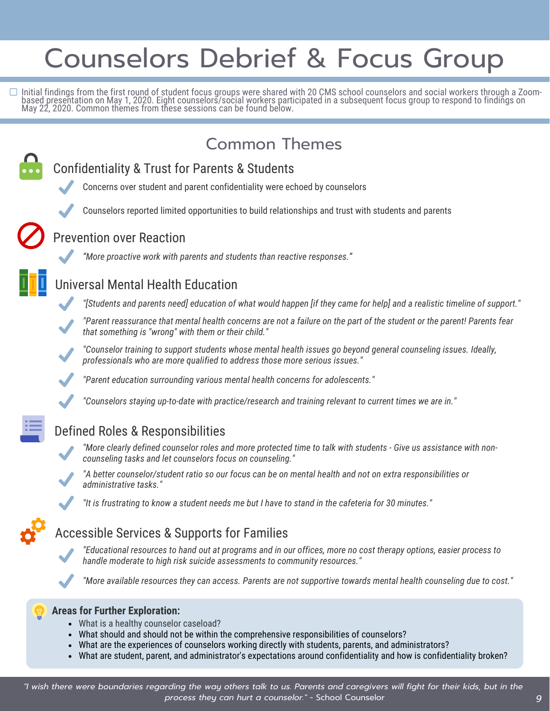## Counselors Debrief & Focus Group

Initial findings from the first round of student focus groups were shared with 20 CMS school counselors and social workers through a Zoombased presentation on May 1, 2020. Eight counselors/social workers participated in a subsequent focus group to respond to findings on May 22, 2020. Common themes from these sessions can be found below.



- What is a healthy counselor caseload?
- What should and should not be within the comprehensive responsibilities of counselors?
- What are the experiences of counselors working directly with students, parents, and administrators?
- What are student, parent, and administrator's expectations around confidentiality and how is confidentiality broken?

*9*